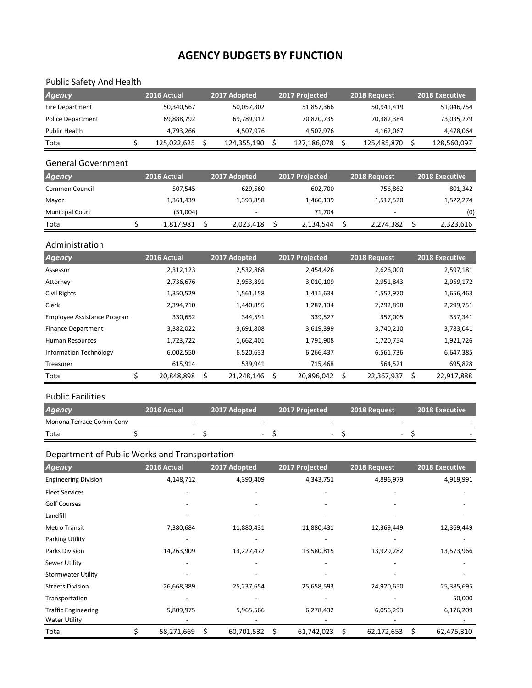# **AGENCY BUDGETS BY FUNCTION**

## Public Safety And Health

| <b>Agency</b>     | 2016 Actual | 2017 Adopted | 2017 Projected | 2018 Request | <b>2018 Executive</b> |
|-------------------|-------------|--------------|----------------|--------------|-----------------------|
| Fire Department   | 50,340,567  | 50,057,302   | 51,857,366     | 50,941,419   | 51,046,754            |
| Police Department | 69,888,792  | 69.789.912   | 70,820,735     | 70,382,384   | 73,035,279            |
| Public Health     | 4.793.266   | 4.507.976    | 4.507.976      | 4,162,067    | 4,478,064             |
| Total             | 125,022,625 | 124,355,190  | 127,186,078    | 125,485,870  | 128,560,097           |

#### General Government

| <b>Agency</b>          | 2016 Actual | 2017 Adopted             | 2017 Projected | 2018 Request             | 2018 Executive |
|------------------------|-------------|--------------------------|----------------|--------------------------|----------------|
| Common Council         | 507,545     | 629.560                  | 602.700        | 756.862                  | 801,342        |
| Mayor                  | 1,361,439   | 1,393,858                | 1,460,139      | 1,517,520                | 1,522,274      |
| <b>Municipal Court</b> | (51,004)    | $\overline{\phantom{a}}$ | 71.704         | $\overline{\phantom{0}}$ | (0)            |
| Total                  | 1,817,981   | 2,023,418                | 2,134,544      | 2,274,382                | 2,323,616      |

#### Administration

| <b>Agency</b>                 | 2016 Actual | 2017 Adopted    | 2017 Projected  | 2018 Request    | <b>2018 Executive</b> |
|-------------------------------|-------------|-----------------|-----------------|-----------------|-----------------------|
| Assessor                      | 2,312,123   | 2,532,868       | 2,454,426       | 2,626,000       | 2,597,181             |
| Attorney                      | 2,736,676   | 2,953,891       | 3,010,109       | 2,951,843       | 2,959,172             |
| Civil Rights                  | 1,350,529   | 1,561,158       | 1,411,634       | 1,552,970       | 1,656,463             |
| <b>Clerk</b>                  | 2,394,710   | 1,440,855       | 1,287,134       | 2,292,898       | 2,299,751             |
| Employee Assistance Program   | 330,652     | 344,591         | 339,527         | 357,005         | 357,341               |
| <b>Finance Department</b>     | 3,382,022   | 3,691,808       | 3,619,399       | 3,740,210       | 3,783,041             |
| <b>Human Resources</b>        | 1,723,722   | 1,662,401       | 1,791,908       | 1,720,754       | 1,921,726             |
| <b>Information Technology</b> | 6,002,550   | 6,520,633       | 6,266,437       | 6,561,736       | 6,647,385             |
| Treasurer                     | 615,914     | 539,941         | 715,468         | 564,521         | 695,828               |
| Total                         | 20,848,898  | 21,248,146<br>S | 20,896,042<br>S | 22,367,937<br>S | Ś<br>22,917,888       |

### Public Facilities

| <b>Agency</b>            | 2016 Actual | 2017 Adopted | 2017 Projected | 2018 Request | 2018 Executive |
|--------------------------|-------------|--------------|----------------|--------------|----------------|
| Monona Terrace Comm Conv |             |              |                |              |                |
| Total                    |             |              |                |              |                |

## Department of Public Works and Transportation

| <b>Agency</b>               | 2016 Actual | 2017 Adopted     | 2017 Projected   | 2018 Request     | 2018 Executive   |
|-----------------------------|-------------|------------------|------------------|------------------|------------------|
| <b>Engineering Division</b> | 4,148,712   | 4,390,409        | 4,343,751        | 4,896,979        | 4,919,991        |
| <b>Fleet Services</b>       |             |                  |                  |                  |                  |
| <b>Golf Courses</b>         |             |                  |                  |                  |                  |
| Landfill                    |             |                  |                  |                  |                  |
| <b>Metro Transit</b>        | 7,380,684   | 11,880,431       | 11,880,431       | 12,369,449       | 12,369,449       |
| Parking Utility             |             |                  |                  |                  |                  |
| Parks Division              | 14,263,909  | 13,227,472       | 13,580,815       | 13,929,282       | 13,573,966       |
| Sewer Utility               |             |                  |                  |                  |                  |
| <b>Stormwater Utility</b>   |             |                  |                  |                  |                  |
| <b>Streets Division</b>     | 26,668,389  | 25,237,654       | 25,658,593       | 24,920,650       | 25,385,695       |
| Transportation              |             |                  |                  |                  | 50,000           |
| <b>Traffic Engineering</b>  | 5,809,975   | 5,965,566        | 6,278,432        | 6,056,293        | 6,176,209        |
| <b>Water Utility</b>        |             |                  |                  |                  |                  |
| Total                       | 58,271,669  | \$<br>60,701,532 | \$<br>61,742,023 | \$<br>62,172,653 | \$<br>62,475,310 |